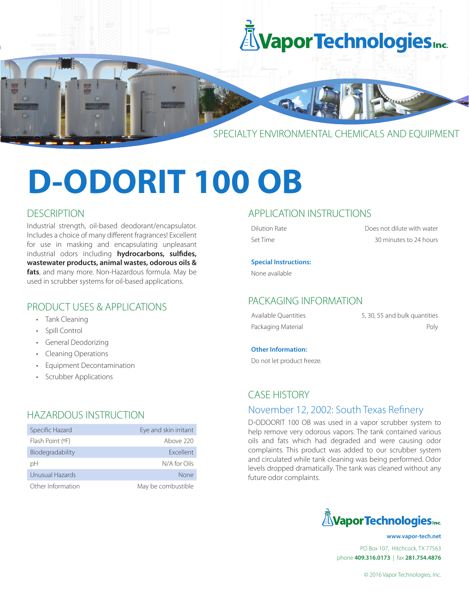

# **D-ODORIT 100 OB**

## **DESCRIPTION**

Industrial strength, oil-based deodorant/encapsulator. Includes a choice of many different fragrances! Excellent for use in masking and encapsulating unpleasant industrial odors including **hydrocarbons, sulfides, wastewater products, animal wastes, odorous oils & fats**, and many more. Non-Hazardous formula. May be used in scrubber systems for oil-based applications.

# PRODUCT USES & APPLICATIONS

- Tank Cleaning
- Spill Control
- General Deodorizing
- Cleaning Operations
- Equipment Decontamination
- Scrubber Applications

# HAZARDOUS INSTRUCTION

| Specific Hazard   | Eye and skin irritant |
|-------------------|-----------------------|
| Flash Point (OF)  | Above 220             |
| Biodegradability  | <b>Fxcellent</b>      |
| рH                | N/A for Oils          |
| Unusual Hazards   | None                  |
| Other Information | May be combustible    |

## APPLICATION INSTRUCTIONS

Dilution Rate Does not dilute with water Set Time 30 minutes to 24 hours

#### **Special Instructions:**

None available

#### PACKAGING INFORMATION

| Available Ouantities | 5, 30, 55 and bulk quantities |
|----------------------|-------------------------------|
| Packaging Material   | Poly                          |

#### **Other Information:**

Do not let product freeze.

# CASE HISTORY

#### November 12, 2002: South Texas Refinery

D-ODOORIT 100 OB was used in a vapor scrubber system to help remove very odorous vapors. The tank contained various oils and fats which had degraded and were causing odor complaints. This product was added to our scrubber system and circulated while tank cleaning was being performed. Odor levels dropped dramatically. The tank was cleaned without any future odor complaints.



PO Box 107, Hitchcock, TX 77563 phone **409.316.0173** | fax **281.754.4876 www.vapor-tech.net**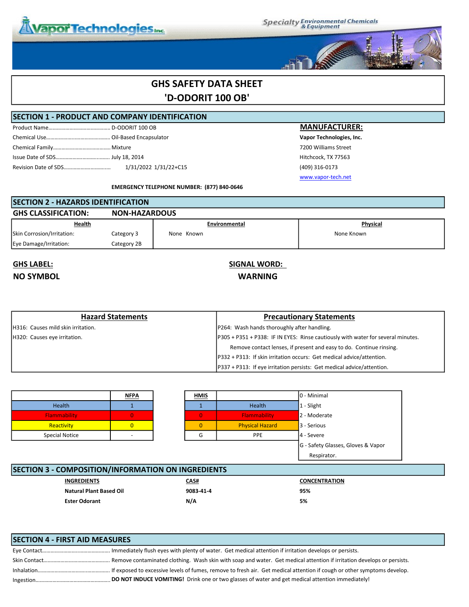

**Specialty Environmental Chemicals**<br>& Equipment



# GHS SAFETY DATA SHEET 'D-ODORIT 100 OB'

#### SECTION 1 - PRODUCT AND COMPANY IDENTIFICATION

Product Name………………………………………….. D-ODORIT 100 OB MANUFACTURER: Chemical Use………………...…………….………..Oil-Based Encapsulator Vapor Technologies, Inc. Chemical Family……………………………………..Mixture 7200 Williams Street Issue Date of SDS……………….………...……..July 18, 2014 Hitchcock, TX 77563 Revision Date of SDS……………….………...…….. 1/31/2022 1/31/22+C15 (409) 316-0173

www.vapor-tech.net

EMERGENCY TELEPHONE NUMBER: (877) 840-0646

## SECTION 2 - HAZARDS IDENTIFICATION GHS CLASSIFICATION: NON-HAZARDOUS Skin Corrosion/Irritation: Category 3 None Known None Known None Known None Known Eye Damage/Irritation: Category 2B **Health Environmental Environmental Physical**

# NO SYMBOL WARNING

# GHS LABEL: SIGNAL WORD:

| <b>Hazard Statements</b>                   | <b>Precautionary Statements</b>                                                  |
|--------------------------------------------|----------------------------------------------------------------------------------|
| <b>IH316: Causes mild skin irritation.</b> | <b>P264:</b> Wash hands thoroughly after handling.                               |
| H320: Causes eye irritation.               | P305 + P351 + P338: IF IN EYES: Rinse cautiously with water for several minutes. |
|                                            | Remove contact lenses, if present and easy to do. Continue rinsing.              |
|                                            | P332 + P313: If skin irritation occurs: Get medical advice/attention.            |
|                                            | P337 + P313: If eye irritation persists: Get medical advice/attention.           |

|                                                           | <u>NFPA</u>    |  | <b>HMIS</b>    |                        | l0 - Minimal |
|-----------------------------------------------------------|----------------|--|----------------|------------------------|--------------|
| Health                                                    |                |  |                | <b>Health</b>          | 1 - Slight   |
| Flammability                                              | 0              |  | $\overline{0}$ | Flammability           | 2 - Moderate |
| Reactivity                                                | $\overline{0}$ |  | 0              | <b>Physical Hazard</b> | 3 - Serious  |
| <b>Special Notice</b>                                     |                |  | G              | <b>PPE</b>             | 4 - Severe   |
| G - Safety Glasses, Gloves & Vapor                        |                |  |                |                        |              |
| Respirator.                                               |                |  |                |                        |              |
|                                                           |                |  |                |                        |              |
| <b>SECTION 3 - COMPOSITION/INFORMATION ON INGREDIENTS</b> |                |  |                |                        |              |

| :CHON 3 - COMPOSITION/INFORMATION ON INGREDIENTS |                                |             |                      |  |
|--------------------------------------------------|--------------------------------|-------------|----------------------|--|
|                                                  | <b>INGREDIENTS</b>             | <u>CAS#</u> | <b>CONCENTRATION</b> |  |
|                                                  | <b>Natural Plant Based Oil</b> | 9083 41 4   | 95%                  |  |
|                                                  | <b>Ester Odorant</b>           | N/A         | 5%                   |  |
|                                                  |                                |             |                      |  |

| <b>SECTION 4 - FIRST AID MEASURES</b> |                                                                                                  |
|---------------------------------------|--------------------------------------------------------------------------------------------------|
|                                       |                                                                                                  |
|                                       |                                                                                                  |
|                                       |                                                                                                  |
|                                       | DO NOT INDUCE VOMITING! Drink one or two glasses of water and get medical attention immediately! |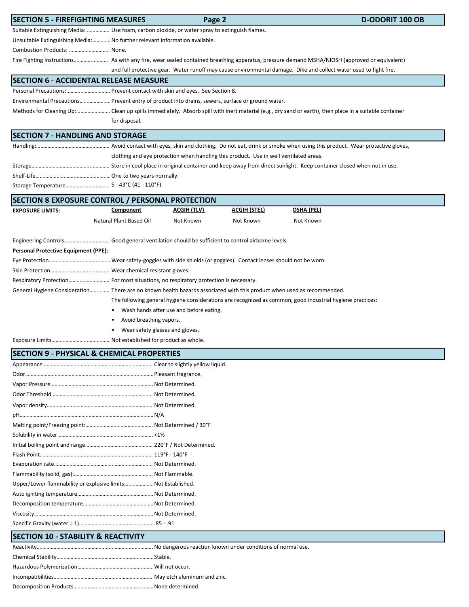| <b>SECTION 5 - FIREFIGHTING MEASURES</b>                                                                               |                                                                                                           | Page 2                                                                     |                                                                                       | <b>D-ODORIT 100 OB</b>                                                                                                                               |  |  |
|------------------------------------------------------------------------------------------------------------------------|-----------------------------------------------------------------------------------------------------------|----------------------------------------------------------------------------|---------------------------------------------------------------------------------------|------------------------------------------------------------------------------------------------------------------------------------------------------|--|--|
| Suitable Extinguishing Media:  Use foam, carbon dioxide, or water spray to extinguish flames.                          |                                                                                                           |                                                                            |                                                                                       |                                                                                                                                                      |  |  |
|                                                                                                                        |                                                                                                           | Unsuitable Extinguishing Media: No further relevant information available. |                                                                                       |                                                                                                                                                      |  |  |
| Combustion Products:  None.                                                                                            |                                                                                                           |                                                                            |                                                                                       |                                                                                                                                                      |  |  |
|                                                                                                                        |                                                                                                           |                                                                            |                                                                                       |                                                                                                                                                      |  |  |
|                                                                                                                        |                                                                                                           |                                                                            |                                                                                       | and full protective gear. Water runoff may cause environmental damage. Dike and collect water used to fight fire.                                    |  |  |
| <b>SECTION 6 - ACCIDENTAL RELEASE MEASURE</b>                                                                          |                                                                                                           |                                                                            |                                                                                       |                                                                                                                                                      |  |  |
| Personal Precautions: Prevent contact with skin and eyes. See Section 8.                                               |                                                                                                           |                                                                            |                                                                                       |                                                                                                                                                      |  |  |
| Environmental Precautions Prevent entry of product into drains, sewers, surface or ground water.                       |                                                                                                           |                                                                            |                                                                                       |                                                                                                                                                      |  |  |
|                                                                                                                        |                                                                                                           |                                                                            |                                                                                       | Methods for Cleaning Up: Clean up spills immediately. Absorb spill with inert material (e.g., dry sand or earth), then place in a suitable container |  |  |
|                                                                                                                        | for disposal.                                                                                             |                                                                            |                                                                                       |                                                                                                                                                      |  |  |
| <b>SECTION 7 - HANDLING AND STORAGE</b>                                                                                |                                                                                                           |                                                                            |                                                                                       |                                                                                                                                                      |  |  |
|                                                                                                                        |                                                                                                           |                                                                            |                                                                                       |                                                                                                                                                      |  |  |
|                                                                                                                        |                                                                                                           |                                                                            | clothing and eye protection when handling this product. Use in well ventilated areas. |                                                                                                                                                      |  |  |
|                                                                                                                        |                                                                                                           |                                                                            |                                                                                       |                                                                                                                                                      |  |  |
|                                                                                                                        |                                                                                                           |                                                                            |                                                                                       |                                                                                                                                                      |  |  |
|                                                                                                                        |                                                                                                           |                                                                            |                                                                                       |                                                                                                                                                      |  |  |
| <b>SECTION 8 EXPOSURE CONTROL / PERSONAL PROTECTION</b>                                                                |                                                                                                           |                                                                            |                                                                                       |                                                                                                                                                      |  |  |
| <b>EXPOSURE LIMITS:</b>                                                                                                | Component                                                                                                 | <b>ACGIH (TLV)</b>                                                         | <u>ACGIH (STEL)</u>                                                                   | <u>OSHA (PEL)</u>                                                                                                                                    |  |  |
|                                                                                                                        | Natural Plant Based Oil                                                                                   | Not Known                                                                  | Not Known                                                                             | Not Known                                                                                                                                            |  |  |
|                                                                                                                        |                                                                                                           |                                                                            |                                                                                       |                                                                                                                                                      |  |  |
| Engineering Controls Good general ventilation should be sufficient to control airborne levels.                         |                                                                                                           |                                                                            |                                                                                       |                                                                                                                                                      |  |  |
| <b>Personal Protective Equipment (PPE):</b>                                                                            |                                                                                                           |                                                                            |                                                                                       |                                                                                                                                                      |  |  |
|                                                                                                                        |                                                                                                           |                                                                            |                                                                                       |                                                                                                                                                      |  |  |
|                                                                                                                        |                                                                                                           |                                                                            |                                                                                       |                                                                                                                                                      |  |  |
| Respiratory Protection For most situations, no respiratory protection is necessary.                                    |                                                                                                           |                                                                            |                                                                                       |                                                                                                                                                      |  |  |
| General Hygiene Consideration There are no known health hazards associated with this product when used as recommended. |                                                                                                           |                                                                            |                                                                                       |                                                                                                                                                      |  |  |
|                                                                                                                        | The following general hygiene considerations are recognized as common, good industrial hygiene practices: |                                                                            |                                                                                       |                                                                                                                                                      |  |  |
|                                                                                                                        | Wash hands after use and before eating.                                                                   |                                                                            |                                                                                       |                                                                                                                                                      |  |  |
|                                                                                                                        | Avoid breathing vapors.                                                                                   |                                                                            |                                                                                       |                                                                                                                                                      |  |  |
|                                                                                                                        | Wear safety glasses and gloves.                                                                           |                                                                            |                                                                                       |                                                                                                                                                      |  |  |
|                                                                                                                        |                                                                                                           |                                                                            |                                                                                       |                                                                                                                                                      |  |  |
| <b>SECTION 9 - PHYSICAL &amp; CHEMICAL PROPERTIES</b>                                                                  |                                                                                                           |                                                                            |                                                                                       |                                                                                                                                                      |  |  |
|                                                                                                                        |                                                                                                           |                                                                            |                                                                                       |                                                                                                                                                      |  |  |
|                                                                                                                        |                                                                                                           |                                                                            |                                                                                       |                                                                                                                                                      |  |  |
|                                                                                                                        |                                                                                                           |                                                                            |                                                                                       |                                                                                                                                                      |  |  |
|                                                                                                                        |                                                                                                           |                                                                            |                                                                                       |                                                                                                                                                      |  |  |
|                                                                                                                        |                                                                                                           |                                                                            |                                                                                       |                                                                                                                                                      |  |  |
|                                                                                                                        |                                                                                                           |                                                                            |                                                                                       |                                                                                                                                                      |  |  |
|                                                                                                                        |                                                                                                           |                                                                            |                                                                                       |                                                                                                                                                      |  |  |
|                                                                                                                        |                                                                                                           |                                                                            |                                                                                       |                                                                                                                                                      |  |  |
|                                                                                                                        |                                                                                                           |                                                                            |                                                                                       |                                                                                                                                                      |  |  |
|                                                                                                                        |                                                                                                           |                                                                            |                                                                                       |                                                                                                                                                      |  |  |
|                                                                                                                        |                                                                                                           |                                                                            |                                                                                       |                                                                                                                                                      |  |  |
|                                                                                                                        |                                                                                                           |                                                                            |                                                                                       |                                                                                                                                                      |  |  |
| Upper/Lower flammability or explosive limits: Not Established.                                                         |                                                                                                           |                                                                            |                                                                                       |                                                                                                                                                      |  |  |
|                                                                                                                        |                                                                                                           |                                                                            |                                                                                       |                                                                                                                                                      |  |  |
|                                                                                                                        |                                                                                                           |                                                                            |                                                                                       |                                                                                                                                                      |  |  |
|                                                                                                                        |                                                                                                           |                                                                            |                                                                                       |                                                                                                                                                      |  |  |
|                                                                                                                        |                                                                                                           |                                                                            |                                                                                       |                                                                                                                                                      |  |  |
| <b>SECTION 10 - STABILITY &amp; REACTIVITY</b>                                                                         |                                                                                                           |                                                                            |                                                                                       |                                                                                                                                                      |  |  |